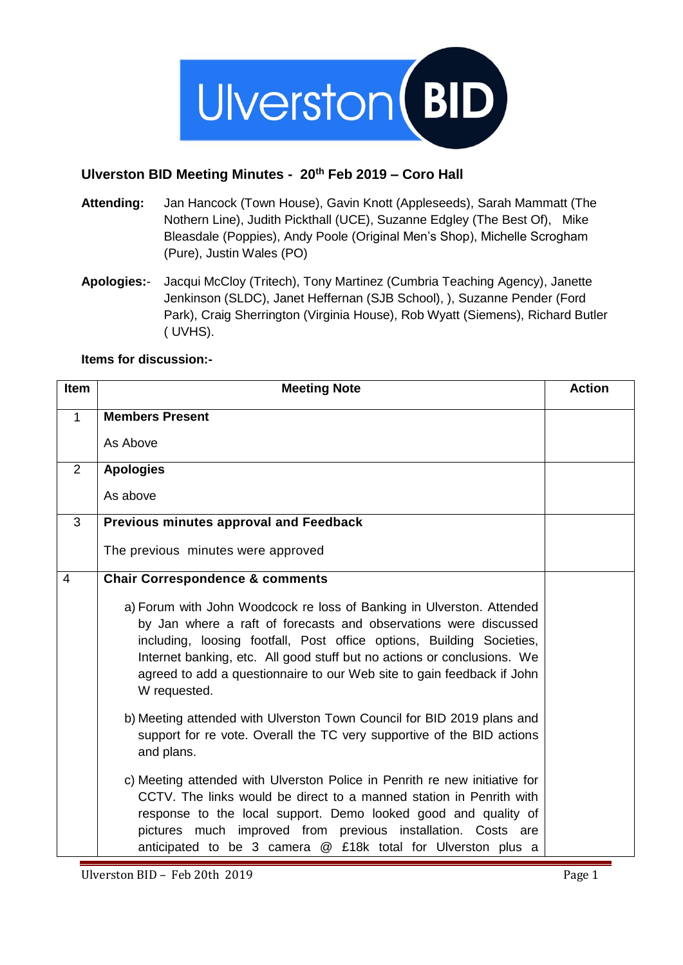

# **Ulverston BID Meeting Minutes - 20th Feb 2019 – Coro Hall**

- **Attending:** Jan Hancock (Town House), Gavin Knott (Appleseeds), Sarah Mammatt (The Nothern Line), Judith Pickthall (UCE), Suzanne Edgley (The Best Of), Mike Bleasdale (Poppies), Andy Poole (Original Men's Shop), Michelle Scrogham (Pure), Justin Wales (PO)
- **Apologies:** Jacqui McCloy (Tritech), Tony Martinez (Cumbria Teaching Agency), Janette Jenkinson (SLDC), Janet Heffernan (SJB School), ), Suzanne Pender (Ford Park), Craig Sherrington (Virginia House), Rob Wyatt (Siemens), Richard Butler ( UVHS).

### **Items for discussion:-**

| <b>Item</b>  | <b>Meeting Note</b>                                                                                                                                                                                                                                                                                                                                                                     | <b>Action</b> |
|--------------|-----------------------------------------------------------------------------------------------------------------------------------------------------------------------------------------------------------------------------------------------------------------------------------------------------------------------------------------------------------------------------------------|---------------|
| $\mathbf{1}$ | <b>Members Present</b>                                                                                                                                                                                                                                                                                                                                                                  |               |
|              | As Above                                                                                                                                                                                                                                                                                                                                                                                |               |
| 2            | <b>Apologies</b>                                                                                                                                                                                                                                                                                                                                                                        |               |
|              | As above                                                                                                                                                                                                                                                                                                                                                                                |               |
| 3            | Previous minutes approval and Feedback                                                                                                                                                                                                                                                                                                                                                  |               |
|              | The previous minutes were approved                                                                                                                                                                                                                                                                                                                                                      |               |
| 4            | <b>Chair Correspondence &amp; comments</b>                                                                                                                                                                                                                                                                                                                                              |               |
|              | a) Forum with John Woodcock re loss of Banking in Ulverston. Attended<br>by Jan where a raft of forecasts and observations were discussed<br>including, loosing footfall, Post office options, Building Societies,<br>Internet banking, etc. All good stuff but no actions or conclusions. We<br>agreed to add a questionnaire to our Web site to gain feedback if John<br>W requested. |               |
|              | b) Meeting attended with Ulverston Town Council for BID 2019 plans and<br>support for re vote. Overall the TC very supportive of the BID actions<br>and plans.                                                                                                                                                                                                                          |               |
|              | c) Meeting attended with Ulverston Police in Penrith re new initiative for<br>CCTV. The links would be direct to a manned station in Penrith with<br>response to the local support. Demo looked good and quality of<br>pictures much improved from previous installation. Costs are<br>anticipated to be 3 camera @ £18k total for Ulverston plus a                                     |               |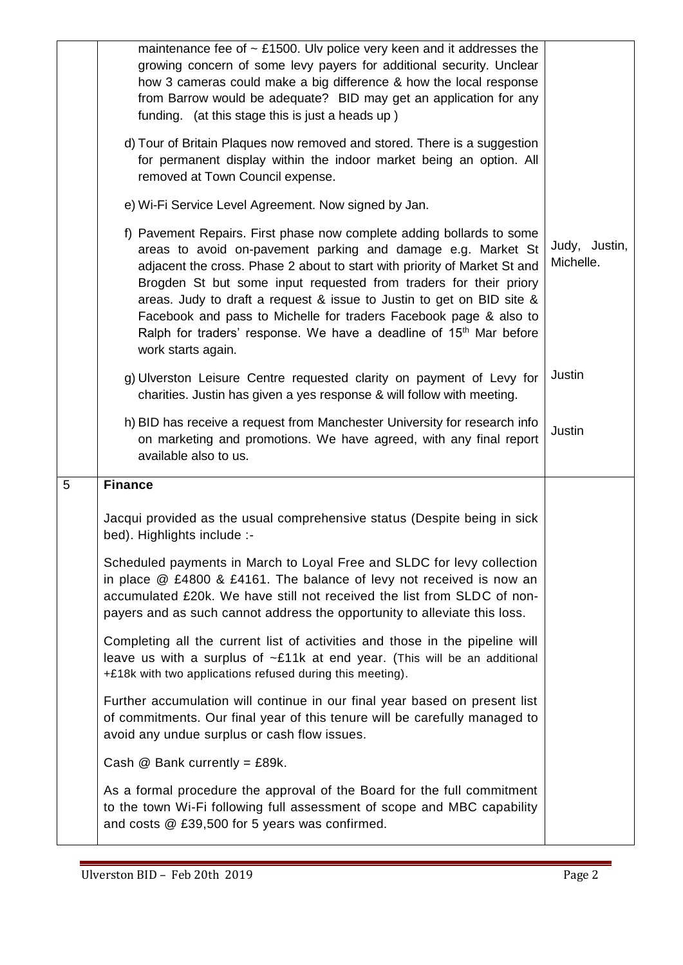|   | maintenance fee of $\sim$ £1500. Ulv police very keen and it addresses the<br>growing concern of some levy payers for additional security. Unclear<br>how 3 cameras could make a big difference & how the local response<br>from Barrow would be adequate? BID may get an application for any<br>funding. (at this stage this is just a heads up)                                                                                                                                                                                             |                            |
|---|-----------------------------------------------------------------------------------------------------------------------------------------------------------------------------------------------------------------------------------------------------------------------------------------------------------------------------------------------------------------------------------------------------------------------------------------------------------------------------------------------------------------------------------------------|----------------------------|
|   | d) Tour of Britain Plaques now removed and stored. There is a suggestion<br>for permanent display within the indoor market being an option. All<br>removed at Town Council expense.                                                                                                                                                                                                                                                                                                                                                           |                            |
|   | e) Wi-Fi Service Level Agreement. Now signed by Jan.                                                                                                                                                                                                                                                                                                                                                                                                                                                                                          |                            |
|   | f) Pavement Repairs. First phase now complete adding bollards to some<br>areas to avoid on-pavement parking and damage e.g. Market St<br>adjacent the cross. Phase 2 about to start with priority of Market St and<br>Brogden St but some input requested from traders for their priory<br>areas. Judy to draft a request & issue to Justin to get on BID site &<br>Facebook and pass to Michelle for traders Facebook page & also to<br>Ralph for traders' response. We have a deadline of 15 <sup>th</sup> Mar before<br>work starts again. | Judy, Justin,<br>Michelle. |
|   | g) Ulverston Leisure Centre requested clarity on payment of Levy for<br>charities. Justin has given a yes response & will follow with meeting.                                                                                                                                                                                                                                                                                                                                                                                                | Justin                     |
|   | h) BID has receive a request from Manchester University for research info<br>on marketing and promotions. We have agreed, with any final report<br>available also to us.                                                                                                                                                                                                                                                                                                                                                                      | Justin                     |
| 5 | <b>Finance</b>                                                                                                                                                                                                                                                                                                                                                                                                                                                                                                                                |                            |
|   | Jacqui provided as the usual comprehensive status (Despite being in sick<br>bed). Highlights include :-                                                                                                                                                                                                                                                                                                                                                                                                                                       |                            |
|   | Scheduled payments in March to Loyal Free and SLDC for levy collection<br>in place $@E4800$ & £4161. The balance of levy not received is now an<br>accumulated £20k. We have still not received the list from SLDC of non-<br>payers and as such cannot address the opportunity to alleviate this loss.                                                                                                                                                                                                                                       |                            |
|   | Completing all the current list of activities and those in the pipeline will<br>leave us with a surplus of ~£11k at end year. (This will be an additional<br>+£18k with two applications refused during this meeting).                                                                                                                                                                                                                                                                                                                        |                            |
|   | Further accumulation will continue in our final year based on present list<br>of commitments. Our final year of this tenure will be carefully managed to<br>avoid any undue surplus or cash flow issues.                                                                                                                                                                                                                                                                                                                                      |                            |
|   | Cash $@$ Bank currently = £89k.                                                                                                                                                                                                                                                                                                                                                                                                                                                                                                               |                            |
|   | As a formal procedure the approval of the Board for the full commitment<br>to the town Wi-Fi following full assessment of scope and MBC capability<br>and costs @ £39,500 for 5 years was confirmed.                                                                                                                                                                                                                                                                                                                                          |                            |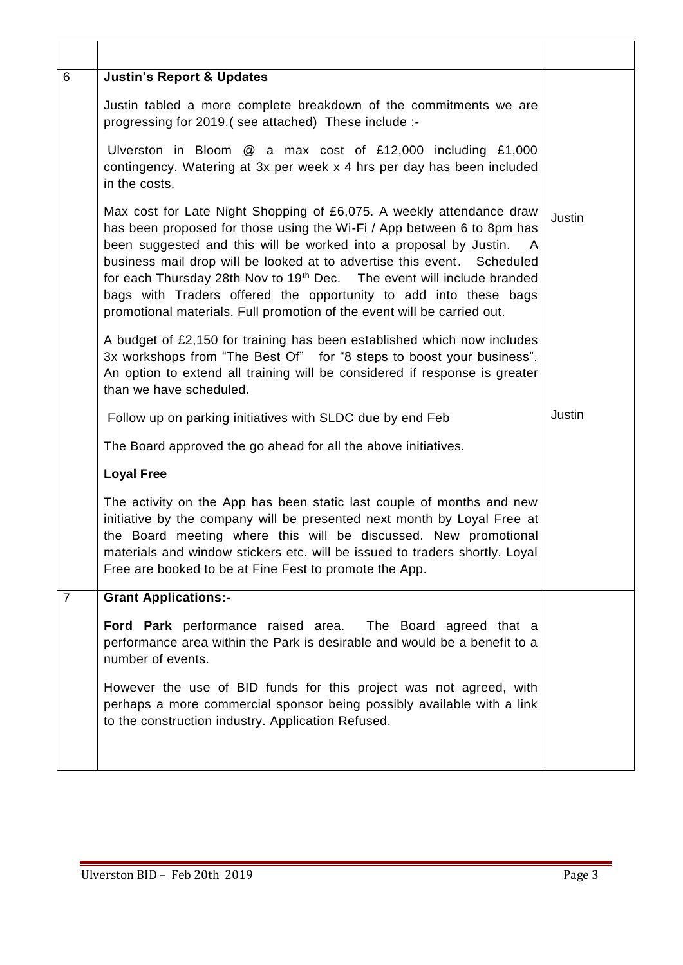| 6              | <b>Justin's Report &amp; Updates</b>                                                                                                                                                                                                                                                                                                                                                                                                                                                                                                |               |  |
|----------------|-------------------------------------------------------------------------------------------------------------------------------------------------------------------------------------------------------------------------------------------------------------------------------------------------------------------------------------------------------------------------------------------------------------------------------------------------------------------------------------------------------------------------------------|---------------|--|
|                | Justin tabled a more complete breakdown of the commitments we are<br>progressing for 2019.(see attached) These include :-                                                                                                                                                                                                                                                                                                                                                                                                           |               |  |
|                | Ulverston in Bloom $@$ a max cost of £12,000 including £1,000<br>contingency. Watering at 3x per week x 4 hrs per day has been included<br>in the costs.                                                                                                                                                                                                                                                                                                                                                                            |               |  |
|                | Max cost for Late Night Shopping of £6,075. A weekly attendance draw<br>has been proposed for those using the Wi-Fi / App between 6 to 8pm has<br>been suggested and this will be worked into a proposal by Justin.<br>business mail drop will be looked at to advertise this event. Scheduled<br>for each Thursday 28th Nov to 19 <sup>th</sup> Dec. The event will include branded<br>bags with Traders offered the opportunity to add into these bags<br>promotional materials. Full promotion of the event will be carried out. | <b>Justin</b> |  |
|                | A budget of £2,150 for training has been established which now includes<br>3x workshops from "The Best Of" for "8 steps to boost your business".<br>An option to extend all training will be considered if response is greater<br>than we have scheduled.                                                                                                                                                                                                                                                                           |               |  |
|                | Follow up on parking initiatives with SLDC due by end Feb                                                                                                                                                                                                                                                                                                                                                                                                                                                                           | Justin        |  |
|                | The Board approved the go ahead for all the above initiatives.                                                                                                                                                                                                                                                                                                                                                                                                                                                                      |               |  |
|                | <b>Loyal Free</b>                                                                                                                                                                                                                                                                                                                                                                                                                                                                                                                   |               |  |
|                | The activity on the App has been static last couple of months and new<br>initiative by the company will be presented next month by Loyal Free at<br>the Board meeting where this will be discussed. New promotional<br>materials and window stickers etc. will be issued to traders shortly. Loyal<br>Free are booked to be at Fine Fest to promote the App.                                                                                                                                                                        |               |  |
| $\overline{7}$ | <b>Grant Applications:-</b>                                                                                                                                                                                                                                                                                                                                                                                                                                                                                                         |               |  |
|                | Ford Park performance raised area. The Board agreed that a<br>performance area within the Park is desirable and would be a benefit to a<br>number of events.                                                                                                                                                                                                                                                                                                                                                                        |               |  |
|                | However the use of BID funds for this project was not agreed, with<br>perhaps a more commercial sponsor being possibly available with a link<br>to the construction industry. Application Refused.                                                                                                                                                                                                                                                                                                                                  |               |  |
|                |                                                                                                                                                                                                                                                                                                                                                                                                                                                                                                                                     |               |  |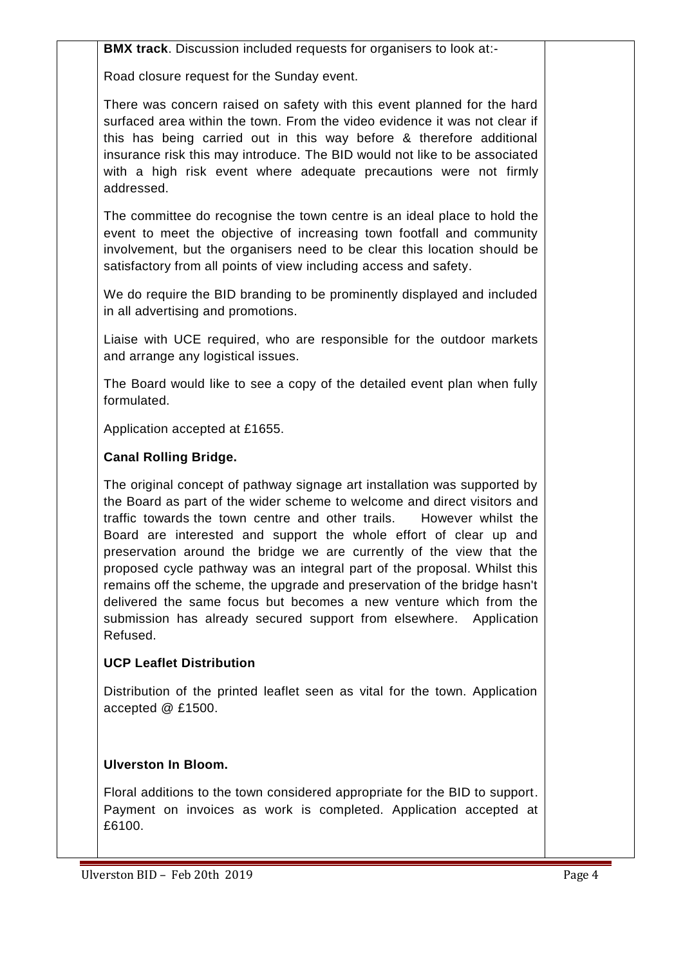**BMX track.** Discussion included requests for organisers to look at:-

Road closure request for the Sunday event.

There was concern raised on safety with this event planned for the hard surfaced area within the town. From the video evidence it was not clear if this has being carried out in this way before & therefore additional insurance risk this may introduce. The BID would not like to be associated with a high risk event where adequate precautions were not firmly addressed.

The committee do recognise the town centre is an ideal place to hold the event to meet the objective of increasing town footfall and community involvement, but the organisers need to be clear this location should be satisfactory from all points of view including access and safety.

We do require the BID branding to be prominently displayed and included in all advertising and promotions.

Liaise with UCE required, who are responsible for the outdoor markets and arrange any logistical issues.

The Board would like to see a copy of the detailed event plan when fully formulated.

Application accepted at £1655.

# **Canal Rolling Bridge.**

The original concept of pathway signage art installation was supported by the Board as part of the wider scheme to welcome and direct visitors and traffic towards the town centre and other trails. However whilst the Board are interested and support the whole effort of clear up and preservation around the bridge we are currently of the view that the proposed cycle pathway was an integral part of the proposal. Whilst this remains off the scheme, the upgrade and preservation of the bridge hasn't delivered the same focus but becomes a new venture which from the submission has already secured support from elsewhere. Application Refused.

# **UCP Leaflet Distribution**

Distribution of the printed leaflet seen as vital for the town. Application accepted @ £1500.

# **Ulverston In Bloom.**

Floral additions to the town considered appropriate for the BID to support. Payment on invoices as work is completed. Application accepted at £6100.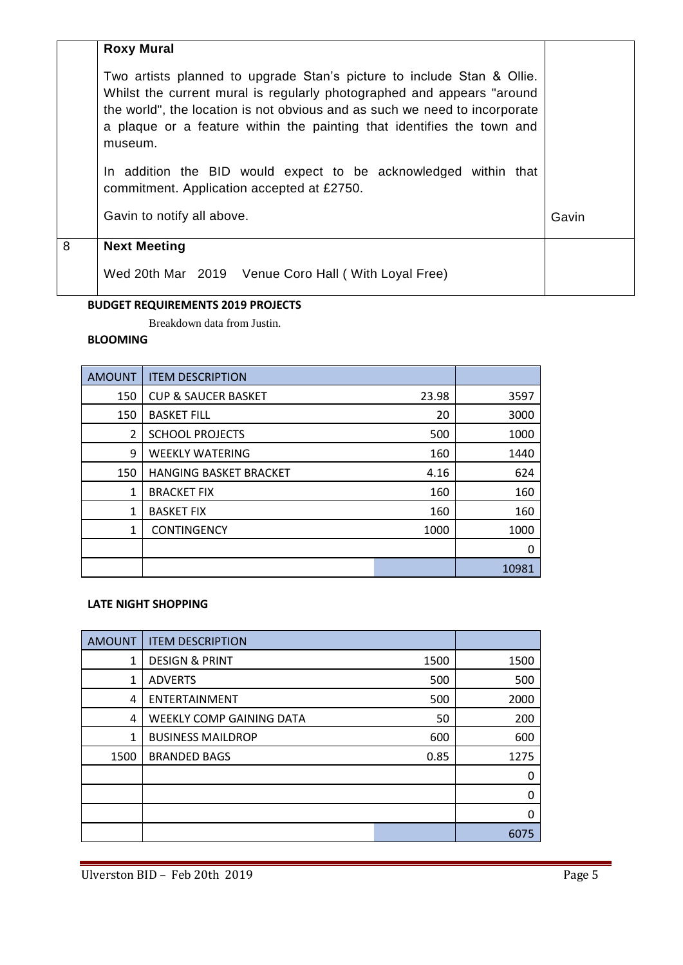|   | <b>Roxy Mural</b>                                                                                                                                                                                                                                                                                                   |       |
|---|---------------------------------------------------------------------------------------------------------------------------------------------------------------------------------------------------------------------------------------------------------------------------------------------------------------------|-------|
|   | Two artists planned to upgrade Stan's picture to include Stan & Ollie.<br>Whilst the current mural is regularly photographed and appears "around<br>the world", the location is not obvious and as such we need to incorporate<br>a plaque or a feature within the painting that identifies the town and<br>museum. |       |
|   | In addition the BID would expect to be acknowledged within that<br>commitment. Application accepted at £2750.                                                                                                                                                                                                       |       |
|   | Gavin to notify all above.                                                                                                                                                                                                                                                                                          | Gavin |
| 8 | <b>Next Meeting</b>                                                                                                                                                                                                                                                                                                 |       |
|   | Wed 20th Mar 2019 Venue Coro Hall (With Loyal Free)                                                                                                                                                                                                                                                                 |       |

#### **BUDGET REQUIREMENTS 2019 PROJECTS**

Breakdown data from Justin.

### **BLOOMING**

| <b>AMOUNT</b>  | <b>ITEM DESCRIPTION</b>        |       |       |
|----------------|--------------------------------|-------|-------|
| 150            | <b>CUP &amp; SAUCER BASKET</b> | 23.98 | 3597  |
| 150            | <b>BASKET FILL</b>             | 20    | 3000  |
| $\overline{2}$ | <b>SCHOOL PROJECTS</b>         | 500   | 1000  |
| 9              | <b>WEEKLY WATERING</b>         | 160   | 1440  |
| 150            | <b>HANGING BASKET BRACKET</b>  | 4.16  | 624   |
| 1              | <b>BRACKET FIX</b>             | 160   | 160   |
| 1              | <b>BASKET FIX</b>              | 160   | 160   |
| 1              | <b>CONTINGENCY</b>             | 1000  | 1000  |
|                |                                |       | 0     |
|                |                                |       | 10981 |

#### **LATE NIGHT SHOPPING**

| <b>AMOUNT</b> | <b>ITEM DESCRIPTION</b>         |      |      |
|---------------|---------------------------------|------|------|
| 1             | <b>DESIGN &amp; PRINT</b>       | 1500 | 1500 |
| 1             | <b>ADVERTS</b>                  | 500  | 500  |
| 4             | ENTERTAINMENT                   | 500  | 2000 |
| 4             | <b>WEEKLY COMP GAINING DATA</b> | 50   | 200  |
| 1             | <b>BUSINESS MAILDROP</b>        | 600  | 600  |
| 1500          | <b>BRANDED BAGS</b>             | 0.85 | 1275 |
|               |                                 |      | 0    |
|               |                                 |      | 0    |
|               |                                 |      | 0    |
|               |                                 |      | 6075 |